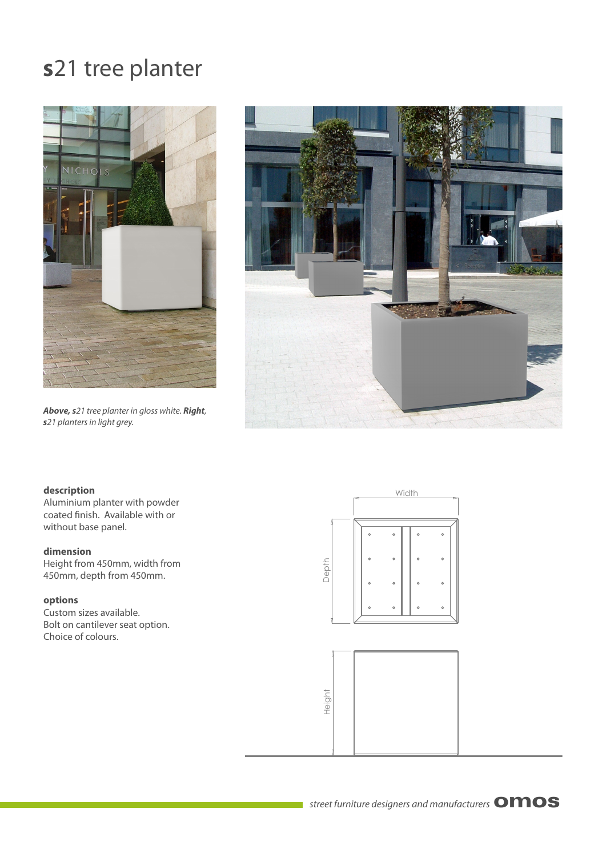# **s**21 tree planter



*Above, s*21 tree planter in gloss white. *Right*, *s*21 planters in light grey.



#### **description**

Aluminium planter with powder coated finish. Available with or without base panel.

## **dimension**

Height from 450mm, width from 450mm, depth from 450mm.

# **options**

Custom sizes available. Bolt on cantilever seat option. Choice of colours.